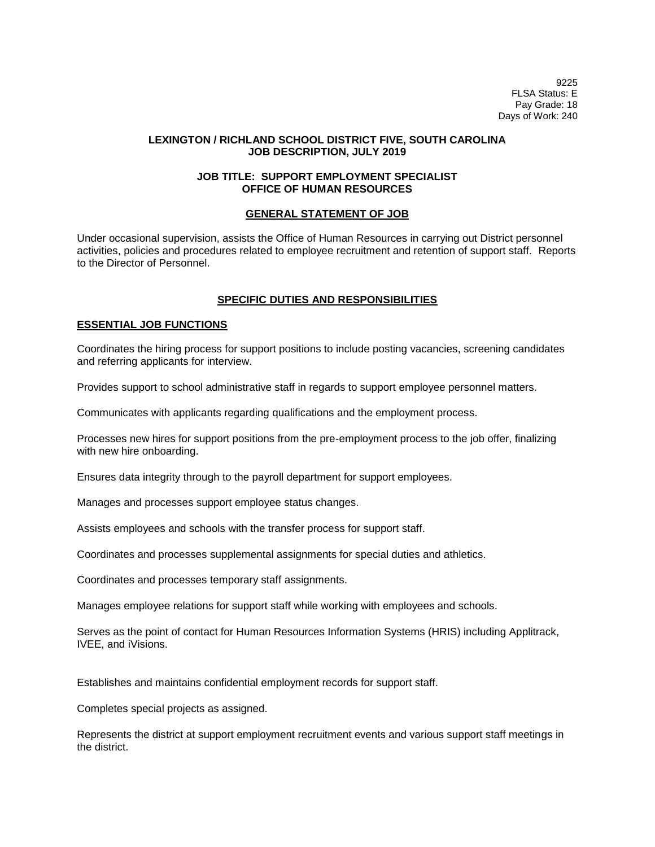9225 FLSA Status: E Pay Grade: 18 Days of Work: 240

## **LEXINGTON / RICHLAND SCHOOL DISTRICT FIVE, SOUTH CAROLINA JOB DESCRIPTION, JULY 2019**

# **JOB TITLE: SUPPORT EMPLOYMENT SPECIALIST OFFICE OF HUMAN RESOURCES**

## **GENERAL STATEMENT OF JOB**

Under occasional supervision, assists the Office of Human Resources in carrying out District personnel activities, policies and procedures related to employee recruitment and retention of support staff. Reports to the Director of Personnel.

# **SPECIFIC DUTIES AND RESPONSIBILITIES**

## **ESSENTIAL JOB FUNCTIONS**

Coordinates the hiring process for support positions to include posting vacancies, screening candidates and referring applicants for interview.

Provides support to school administrative staff in regards to support employee personnel matters.

Communicates with applicants regarding qualifications and the employment process.

Processes new hires for support positions from the pre-employment process to the job offer, finalizing with new hire onboarding.

Ensures data integrity through to the payroll department for support employees.

Manages and processes support employee status changes.

Assists employees and schools with the transfer process for support staff.

Coordinates and processes supplemental assignments for special duties and athletics.

Coordinates and processes temporary staff assignments.

Manages employee relations for support staff while working with employees and schools.

Serves as the point of contact for Human Resources Information Systems (HRIS) including Applitrack, IVEE, and iVisions.

Establishes and maintains confidential employment records for support staff.

Completes special projects as assigned.

Represents the district at support employment recruitment events and various support staff meetings in the district.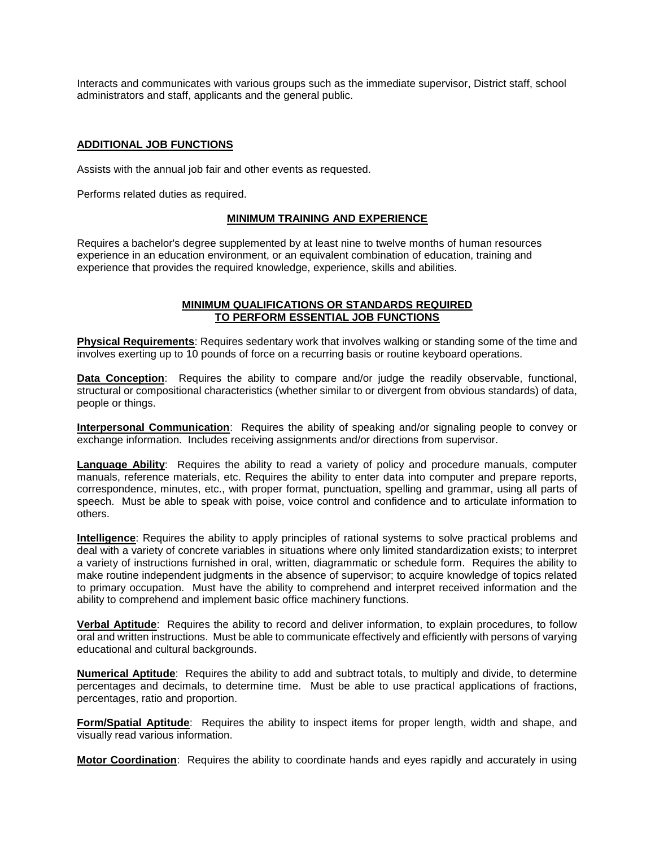Interacts and communicates with various groups such as the immediate supervisor, District staff, school administrators and staff, applicants and the general public.

# **ADDITIONAL JOB FUNCTIONS**

Assists with the annual job fair and other events as requested.

Performs related duties as required.

#### **MINIMUM TRAINING AND EXPERIENCE**

Requires a bachelor's degree supplemented by at least nine to twelve months of human resources experience in an education environment, or an equivalent combination of education, training and experience that provides the required knowledge, experience, skills and abilities.

#### **MINIMUM QUALIFICATIONS OR STANDARDS REQUIRED TO PERFORM ESSENTIAL JOB FUNCTIONS**

**Physical Requirements**: Requires sedentary work that involves walking or standing some of the time and involves exerting up to 10 pounds of force on a recurring basis or routine keyboard operations.

Data Conception: Requires the ability to compare and/or judge the readily observable, functional, structural or compositional characteristics (whether similar to or divergent from obvious standards) of data, people or things.

**Interpersonal Communication**: Requires the ability of speaking and/or signaling people to convey or exchange information. Includes receiving assignments and/or directions from supervisor.

**Language Ability**: Requires the ability to read a variety of policy and procedure manuals, computer manuals, reference materials, etc. Requires the ability to enter data into computer and prepare reports, correspondence, minutes, etc., with proper format, punctuation, spelling and grammar, using all parts of speech. Must be able to speak with poise, voice control and confidence and to articulate information to others.

**Intelligence**: Requires the ability to apply principles of rational systems to solve practical problems and deal with a variety of concrete variables in situations where only limited standardization exists; to interpret a variety of instructions furnished in oral, written, diagrammatic or schedule form. Requires the ability to make routine independent judgments in the absence of supervisor; to acquire knowledge of topics related to primary occupation. Must have the ability to comprehend and interpret received information and the ability to comprehend and implement basic office machinery functions.

**Verbal Aptitude**: Requires the ability to record and deliver information, to explain procedures, to follow oral and written instructions. Must be able to communicate effectively and efficiently with persons of varying educational and cultural backgrounds.

**Numerical Aptitude**: Requires the ability to add and subtract totals, to multiply and divide, to determine percentages and decimals, to determine time. Must be able to use practical applications of fractions, percentages, ratio and proportion.

**Form/Spatial Aptitude**: Requires the ability to inspect items for proper length, width and shape, and visually read various information.

**Motor Coordination**: Requires the ability to coordinate hands and eyes rapidly and accurately in using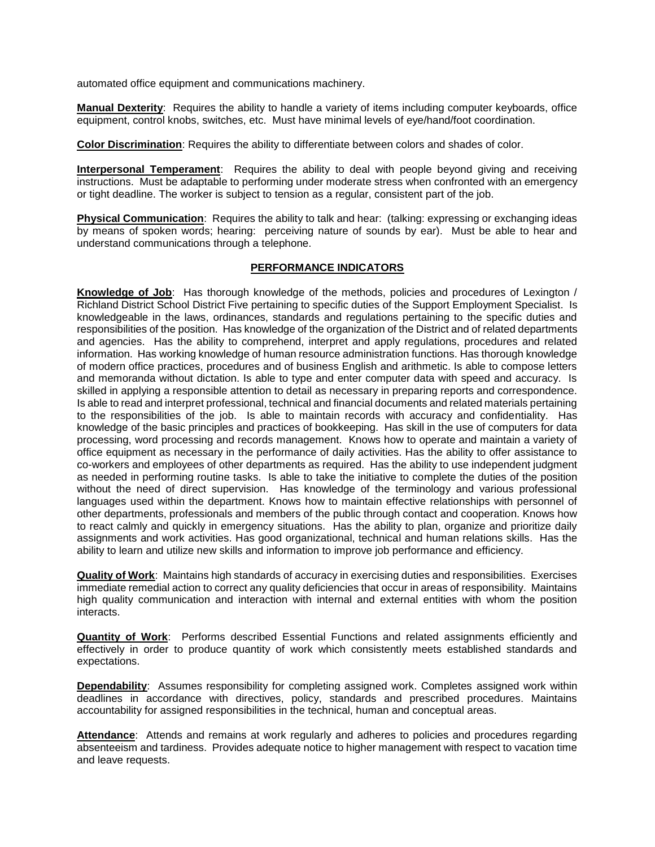automated office equipment and communications machinery.

**Manual Dexterity**: Requires the ability to handle a variety of items including computer keyboards, office equipment, control knobs, switches, etc. Must have minimal levels of eye/hand/foot coordination.

**Color Discrimination**: Requires the ability to differentiate between colors and shades of color.

**Interpersonal Temperament**: Requires the ability to deal with people beyond giving and receiving instructions. Must be adaptable to performing under moderate stress when confronted with an emergency or tight deadline. The worker is subject to tension as a regular, consistent part of the job.

**Physical Communication**: Requires the ability to talk and hear: (talking: expressing or exchanging ideas by means of spoken words; hearing: perceiving nature of sounds by ear). Must be able to hear and understand communications through a telephone.

## **PERFORMANCE INDICATORS**

**Knowledge of Job**: Has thorough knowledge of the methods, policies and procedures of Lexington / Richland District School District Five pertaining to specific duties of the Support Employment Specialist. Is knowledgeable in the laws, ordinances, standards and regulations pertaining to the specific duties and responsibilities of the position. Has knowledge of the organization of the District and of related departments and agencies. Has the ability to comprehend, interpret and apply regulations, procedures and related information. Has working knowledge of human resource administration functions. Has thorough knowledge of modern office practices, procedures and of business English and arithmetic. Is able to compose letters and memoranda without dictation. Is able to type and enter computer data with speed and accuracy. Is skilled in applying a responsible attention to detail as necessary in preparing reports and correspondence. Is able to read and interpret professional, technical and financial documents and related materials pertaining to the responsibilities of the job. Is able to maintain records with accuracy and confidentiality. Has knowledge of the basic principles and practices of bookkeeping. Has skill in the use of computers for data processing, word processing and records management. Knows how to operate and maintain a variety of office equipment as necessary in the performance of daily activities. Has the ability to offer assistance to co-workers and employees of other departments as required. Has the ability to use independent judgment as needed in performing routine tasks. Is able to take the initiative to complete the duties of the position without the need of direct supervision. Has knowledge of the terminology and various professional languages used within the department. Knows how to maintain effective relationships with personnel of other departments, professionals and members of the public through contact and cooperation. Knows how to react calmly and quickly in emergency situations. Has the ability to plan, organize and prioritize daily assignments and work activities. Has good organizational, technical and human relations skills. Has the ability to learn and utilize new skills and information to improve job performance and efficiency.

**Quality of Work**: Maintains high standards of accuracy in exercising duties and responsibilities. Exercises immediate remedial action to correct any quality deficiencies that occur in areas of responsibility. Maintains high quality communication and interaction with internal and external entities with whom the position interacts.

**Quantity of Work**: Performs described Essential Functions and related assignments efficiently and effectively in order to produce quantity of work which consistently meets established standards and expectations.

**Dependability**: Assumes responsibility for completing assigned work. Completes assigned work within deadlines in accordance with directives, policy, standards and prescribed procedures. Maintains accountability for assigned responsibilities in the technical, human and conceptual areas.

Attendance: Attends and remains at work regularly and adheres to policies and procedures regarding absenteeism and tardiness. Provides adequate notice to higher management with respect to vacation time and leave requests.